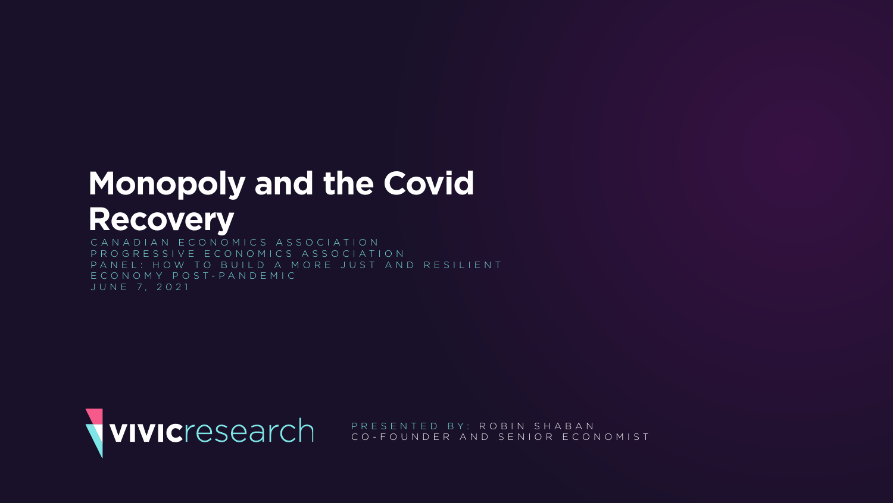# **Monopoly and the Covid Recovery**

CANADIAN ECONOMICS ASSOCIATION PROGRESSIVE ECONOMICS ASSOCIATION PANEL: HOW TO BUILD A MORE JUST AND RESILIENT ECONOMY POST-PANDEMIC JUNE 7, 2021



PRESENTED BY: ROBIN SHABAN CO-FOUNDER AND SENIOR ECONOMIST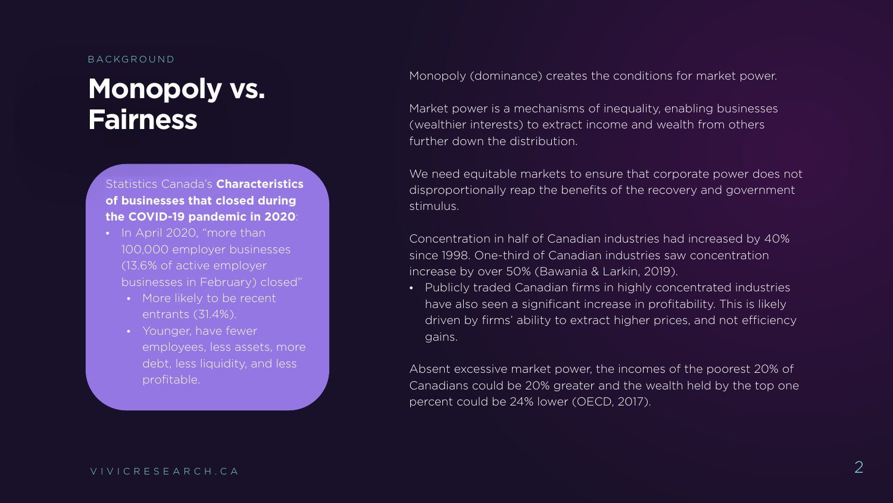## **Monopoly vs. Fairness**

#### BACKGROUND

Monopoly (dominance) creates the conditions for market power.

Market power is a mechanisms of inequality, enabling businesses (wealthier interests) to extract income and wealth from others further down the distribution.

We need equitable markets to ensure that corporate power does not disproportionally reap the benefits of the recovery and government stimulus.

Concentration in half of Canadian industries had increased by 40% since 1998. One-third of Canadian industries saw concentration increase by over 50% (Bawania & Larkin, 2019).

- In April 2020, "more than 100,000 employer businesses (13.6% of active employer businesses in February) closed"
	- More likely to be recent entrants (31.4%).
	- Younger, have fewer employees, less assets, more debt, less liquidity, and less profitable.

• Publicly traded Canadian firms in highly concentrated industries have also seen a significant increase in profitability. This is likely driven by firms' ability to extract higher prices, and not efficiency

gains.

Absent excessive market power, the incomes of the poorest 20% of Canadians could be 20% greater and the wealth held by the top one percent could be 24% lower (OECD, 2017).

### Statistics Canada's **Characteristics of businesses that closed during the COVID-19 pandemic in 2020**: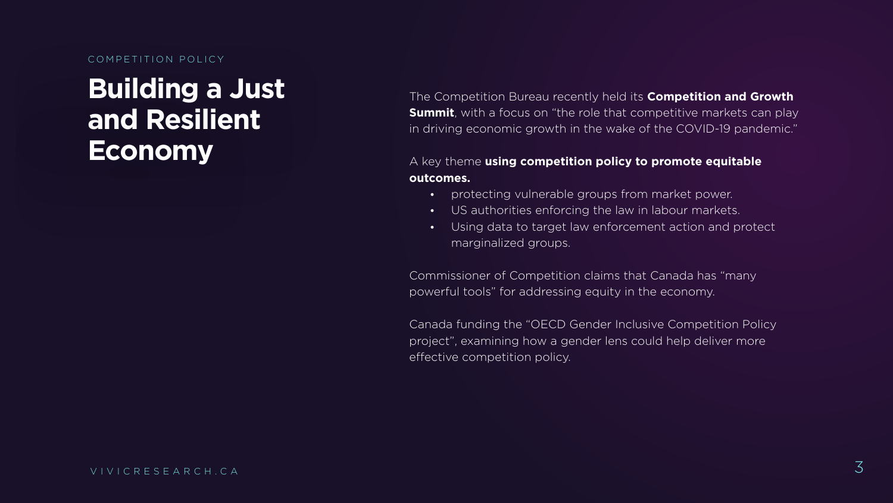## **Building a Just and Resilient Economy**

COMPETITION POLICY

The Competition Bureau recently held its **Competition and Growth Summit**, with a focus on "the role that competitive markets can play in driving economic growth in the wake of the COVID-19 pandemic."

### A key theme **using competition policy to promote equitable**

**outcomes.**

• protecting vulnerable groups from market power. • US authorities enforcing the law in labour markets. • Using data to target law enforcement action and protect

- 
- 
- marginalized groups.

Commissioner of Competition claims that Canada has "many powerful tools" for addressing equity in the economy.

Canada funding the "OECD Gender Inclusive Competition Policy project", examining how a gender lens could help deliver more effective competition policy.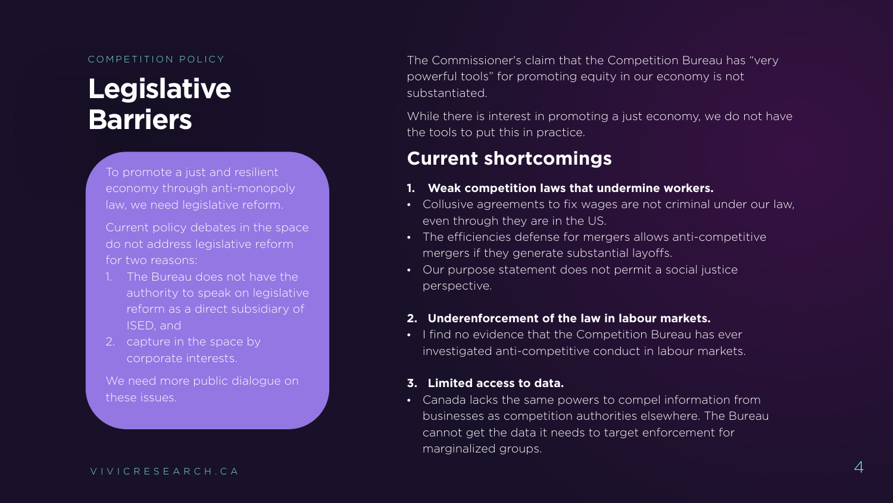# **Legislative Barriers**

COMPETITION POLICY **The Commissioner's claim that the Competition Bureau has "very** powerful tools" for promoting equity in our economy is not substantiated.

> While there is interest in promoting a just economy, we do not have the tools to put this in practice.

## **Current shortcomings**

### **1. Weak competition laws that undermine workers.**

• Collusive agreements to fix wages are not criminal under our law,

• The efficiencies defense for mergers allows anti-competitive

- even through they are in the US.
- 
- perspective.

mergers if they generate substantial layoffs.

• Our purpose statement does not permit a social justice

#### **2. Underenforcement of the law in labour markets.**

• I find no evidence that the Competition Bureau has ever investigated anti-competitive conduct in labour markets.

#### **3. Limited access to data.**

• Canada lacks the same powers to compel information from businesses as competition authorities elsewhere. The Bureau cannot get the data it needs to target enforcement for

marginalized groups.

To promote a just and resilient economy through anti-monopoly law, we need legislative reform.

Current policy debates in the space do not address legislative reform for two reasons:

- 1. The Bureau does not have the authority to speak on legislative reform as a direct subsidiary of ISED, and
- 2. capture in the space by corporate interests.

We need more public dialogue on these issues.